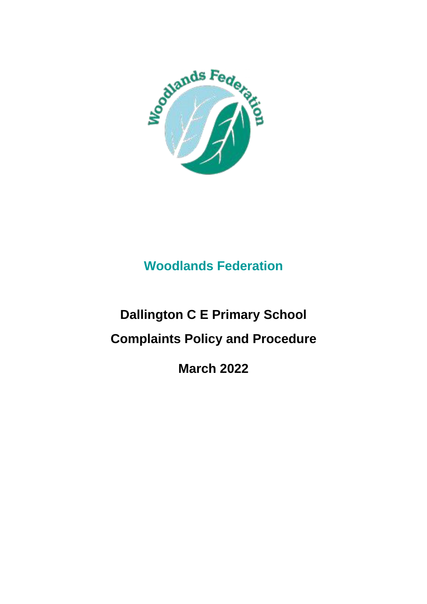

## **Woodlands Federation**

# **Dallington C E Primary School Complaints Policy and Procedure**

**March 2022**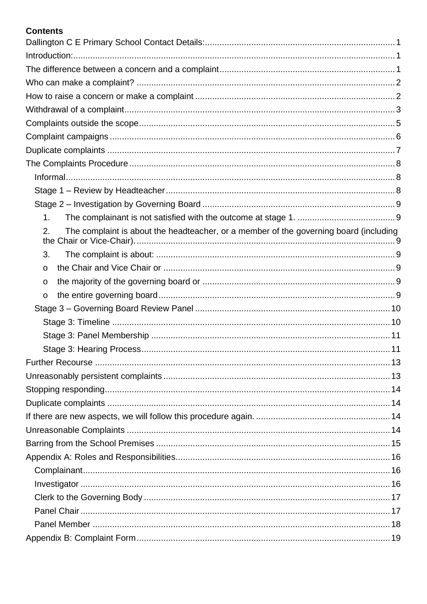#### **Contents**

| 1 <sub>1</sub>                                                                              |  |
|---------------------------------------------------------------------------------------------|--|
| The complaint is about the headteacher, or a member of the governing board (including<br>2. |  |
| 3.                                                                                          |  |
| $\mathbf O$                                                                                 |  |
| $\mathbf O$                                                                                 |  |
| $\mathbf O$                                                                                 |  |
|                                                                                             |  |
|                                                                                             |  |
|                                                                                             |  |
|                                                                                             |  |
|                                                                                             |  |
|                                                                                             |  |
|                                                                                             |  |
|                                                                                             |  |
|                                                                                             |  |
|                                                                                             |  |
|                                                                                             |  |
|                                                                                             |  |
|                                                                                             |  |
|                                                                                             |  |
|                                                                                             |  |
|                                                                                             |  |
|                                                                                             |  |
|                                                                                             |  |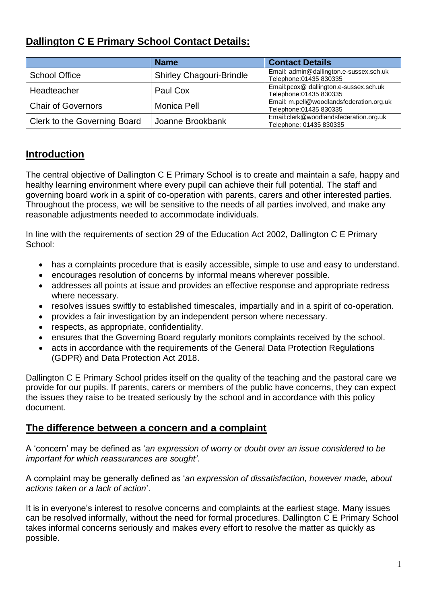## <span id="page-2-0"></span>**Dallington C E Primary School Contact Details:**

|                              | <b>Name</b>                     | <b>Contact Details</b>                                              |
|------------------------------|---------------------------------|---------------------------------------------------------------------|
| <b>School Office</b>         | <b>Shirley Chagouri-Brindle</b> | Email: admin@dallington.e-sussex.sch.uk<br>Telephone:01435 830335   |
| Headteacher                  | Paul Cox                        | Email:pcox@ dallington.e-sussex.sch.uk<br>Telephone:01435 830335    |
| <b>Chair of Governors</b>    | <b>Monica Pell</b>              | Email: m.pell@woodlandsfederation.org.uk<br>Telephone: 01435 830335 |
| Clerk to the Governing Board | Joanne Brookbank                | Email:clerk@woodlandsfederation.org.uk<br>Telephone: 01435 830335   |

## <span id="page-2-1"></span>**Introduction**

The central objective of Dallington C E Primary School is to create and maintain a safe, happy and healthy learning environment where every pupil can achieve their full potential. The staff and governing board work in a spirit of co-operation with parents, carers and other interested parties. Throughout the process, we will be sensitive to the needs of all parties involved, and make any reasonable adjustments needed to accommodate individuals.

In line with the requirements of section 29 of the Education Act 2002, Dallington C E Primary School:

- has a complaints procedure that is easily accessible, simple to use and easy to understand.
- encourages resolution of concerns by informal means wherever possible.
- addresses all points at issue and provides an effective response and appropriate redress where necessary.
- resolves issues swiftly to established timescales, impartially and in a spirit of co-operation.
- provides a fair investigation by an independent person where necessary.
- respects, as appropriate, confidentiality.
- ensures that the Governing Board regularly monitors complaints received by the school.
- acts in accordance with the requirements of the General Data Protection Regulations (GDPR) and Data Protection Act 2018.

Dallington C E Primary School prides itself on the quality of the teaching and the pastoral care we provide for our pupils. If parents, carers or members of the public have concerns, they can expect the issues they raise to be treated seriously by the school and in accordance with this policy document.

#### <span id="page-2-2"></span>**The difference between a concern and a complaint**

A 'concern' may be defined as '*an expression of worry or doubt over an issue considered to be important for which reassurances are sought'*.

A complaint may be generally defined as '*an expression of dissatisfaction, however made, about actions taken or a lack of action*'.

It is in everyone's interest to resolve concerns and complaints at the earliest stage. Many issues can be resolved informally, without the need for formal procedures. Dallington C E Primary School takes informal concerns seriously and makes every effort to resolve the matter as quickly as possible.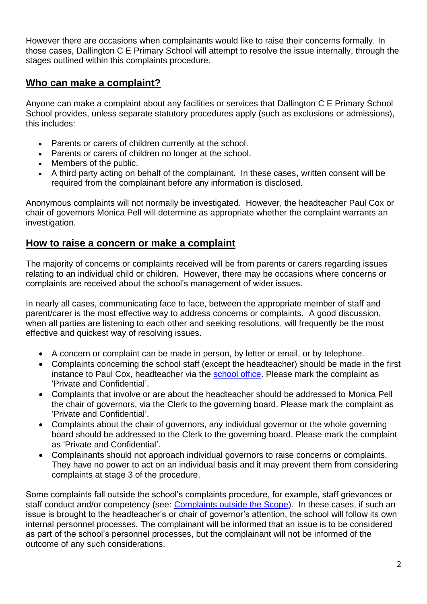However there are occasions when complainants would like to raise their concerns formally. In those cases, Dallington C E Primary School will attempt to resolve the issue internally, through the stages outlined within this complaints procedure.

#### <span id="page-3-0"></span>**Who can make a complaint?**

Anyone can make a complaint about any facilities or services that Dallington C E Primary School School provides, unless separate statutory procedures apply (such as exclusions or admissions), this includes:

- Parents or carers of children currently at the school.
- Parents or carers of children no longer at the school.
- Members of the public.
- A third party acting on behalf of the complainant. In these cases, written consent will be required from the complainant before any information is disclosed.

Anonymous complaints will not normally be investigated. However, the headteacher Paul Cox or chair of governors Monica Pell will determine as appropriate whether the complaint warrants an investigation.

#### <span id="page-3-1"></span>**How to raise a concern or make a complaint**

The majority of concerns or complaints received will be from parents or carers regarding issues relating to an individual child or children. However, there may be occasions where concerns or complaints are received about the school's management of wider issues.

In nearly all cases, communicating face to face, between the appropriate member of staff and parent/carer is the most effective way to address concerns or complaints. A good discussion, when all parties are listening to each other and seeking resolutions, will frequently be the most effective and quickest way of resolving issues.

- A concern or complaint can be made in person, by letter or email, or by telephone.
- Complaints concerning the school staff (except the headteacher) should be made in the first instance to Paul Cox, headteacher via the [school office.](#page-2-0) Please mark the complaint as 'Private and Confidential'.
- Complaints that involve or are about the headteacher should be addressed to Monica Pell the chair of governors, via the Clerk to the governing board. Please mark the complaint as 'Private and Confidential'.
- Complaints about the chair of governors, any individual governor or the whole governing board should be addressed to the Clerk to the governing board. Please mark the complaint as 'Private and Confidential'.
- Complainants should not approach individual governors to raise concerns or complaints. They have no power to act on an individual basis and it may prevent them from considering complaints at stage 3 of the procedure.

Some complaints fall outside the school's complaints procedure, for example, staff grievances or staff conduct and/or competency (see: [Complaints outside the Scope\)](#page-6-0). In these cases, if such an issue is brought to the headteacher's or chair of governor's attention, the school will follow its own internal personnel processes. The complainant will be informed that an issue is to be considered as part of the school's personnel processes, but the complainant will not be informed of the outcome of any such considerations.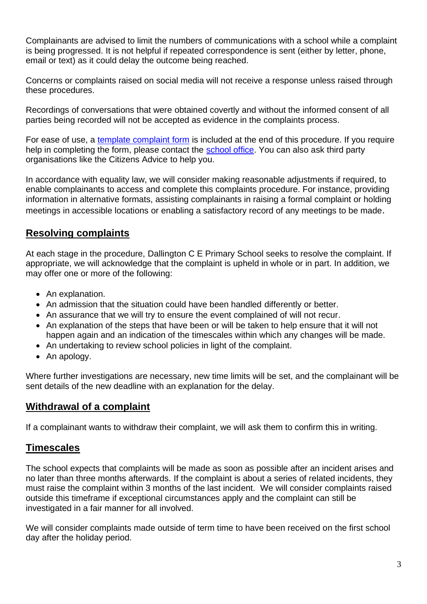Complainants are advised to limit the numbers of communications with a school while a complaint is being progressed. It is not helpful if repeated correspondence is sent (either by letter, phone, email or text) as it could delay the outcome being reached.

Concerns or complaints raised on social media will not receive a response unless raised through these procedures.

Recordings of conversations that were obtained covertly and without the informed consent of all parties being recorded will not be accepted as evidence in the complaints process.

For ease of use, a [template complaint form](#page-20-0) is included at the end of this procedure. If you require help in completing the form, please contact the [school office.](#page-2-0) You can also ask third party organisations like the Citizens Advice to help you.

In accordance with equality law, we will consider making reasonable adjustments if required, to enable complainants to access and complete this complaints procedure. For instance, providing information in alternative formats, assisting complainants in raising a formal complaint or holding meetings in accessible locations or enabling a satisfactory record of any meetings to be made.

## **Resolving complaints**

At each stage in the procedure, Dallington C E Primary School seeks to resolve the complaint. If appropriate, we will acknowledge that the complaint is upheld in whole or in part. In addition, we may offer one or more of the following:

- An explanation.
- An admission that the situation could have been handled differently or better.
- An assurance that we will try to ensure the event complained of will not recur.
- An explanation of the steps that have been or will be taken to help ensure that it will not happen again and an indication of the timescales within which any changes will be made.
- An undertaking to review school policies in light of the complaint.
- An apology.

Where further investigations are necessary, new time limits will be set, and the complainant will be sent details of the new deadline with an explanation for the delay.

## <span id="page-4-0"></span>**Withdrawal of a complaint**

If a complainant wants to withdraw their complaint, we will ask them to confirm this in writing.

#### **Timescales**

The school expects that complaints will be made as soon as possible after an incident arises and no later than three months afterwards. If the complaint is about a series of related incidents, they must raise the complaint within 3 months of the last incident. We will consider complaints raised outside this timeframe if exceptional circumstances apply and the complaint can still be investigated in a fair manner for all involved.

We will consider complaints made outside of term time to have been received on the first school day after the holiday period.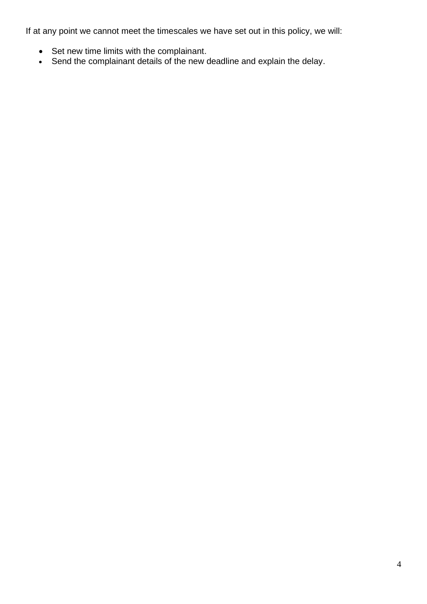If at any point we cannot meet the timescales we have set out in this policy, we will:

- Set new time limits with the complainant.
- Send the complainant details of the new deadline and explain the delay.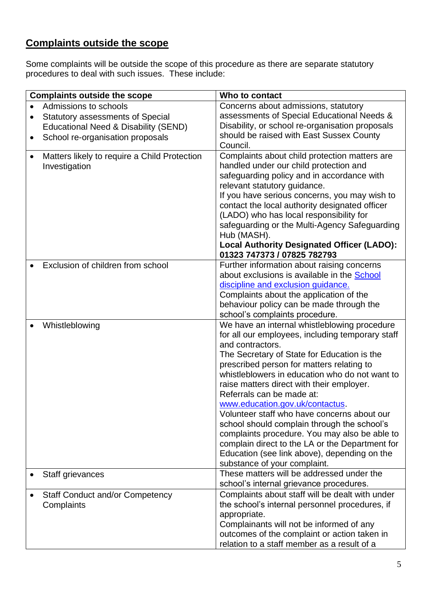## <span id="page-6-0"></span>**Complaints outside the scope**

Some complaints will be outside the scope of this procedure as there are separate statutory procedures to deal with such issues. These include:

|            | <b>Complaints outside the scope</b>          | Who to contact                                                                                  |  |  |
|------------|----------------------------------------------|-------------------------------------------------------------------------------------------------|--|--|
|            | Admissions to schools                        | Concerns about admissions, statutory                                                            |  |  |
|            | <b>Statutory assessments of Special</b>      | assessments of Special Educational Needs &                                                      |  |  |
|            | Educational Need & Disability (SEND)         | Disability, or school re-organisation proposals                                                 |  |  |
| $\bullet$  | School re-organisation proposals             | should be raised with East Sussex County                                                        |  |  |
|            |                                              | Council.                                                                                        |  |  |
| $\bullet$  | Matters likely to require a Child Protection | Complaints about child protection matters are                                                   |  |  |
|            | Investigation                                | handled under our child protection and                                                          |  |  |
|            |                                              | safeguarding policy and in accordance with                                                      |  |  |
|            |                                              | relevant statutory guidance.                                                                    |  |  |
|            |                                              | If you have serious concerns, you may wish to<br>contact the local authority designated officer |  |  |
|            |                                              | (LADO) who has local responsibility for                                                         |  |  |
|            |                                              | safeguarding or the Multi-Agency Safeguarding                                                   |  |  |
|            |                                              | Hub (MASH).                                                                                     |  |  |
|            |                                              | <b>Local Authority Designated Officer (LADO):</b>                                               |  |  |
|            |                                              | 01323 747373 / 07825 782793                                                                     |  |  |
|            | Exclusion of children from school            | Further information about raising concerns                                                      |  |  |
|            |                                              | about exclusions is available in the School                                                     |  |  |
|            |                                              | discipline and exclusion quidance.                                                              |  |  |
|            |                                              | Complaints about the application of the                                                         |  |  |
|            |                                              | behaviour policy can be made through the                                                        |  |  |
|            |                                              | school's complaints procedure.                                                                  |  |  |
|            | Whistleblowing                               | We have an internal whistleblowing procedure                                                    |  |  |
|            |                                              | for all our employees, including temporary staff                                                |  |  |
|            |                                              | and contractors.                                                                                |  |  |
|            |                                              | The Secretary of State for Education is the                                                     |  |  |
|            |                                              | prescribed person for matters relating to                                                       |  |  |
|            |                                              | whistleblowers in education who do not want to                                                  |  |  |
|            |                                              | raise matters direct with their employer.<br>Referrals can be made at:                          |  |  |
|            |                                              | www.education.gov.uk/contactus.                                                                 |  |  |
|            |                                              | Volunteer staff who have concerns about our                                                     |  |  |
|            |                                              | school should complain through the school's                                                     |  |  |
|            |                                              | complaints procedure. You may also be able to                                                   |  |  |
|            |                                              | complain direct to the LA or the Department for                                                 |  |  |
|            |                                              | Education (see link above), depending on the                                                    |  |  |
|            |                                              | substance of your complaint.                                                                    |  |  |
|            | Staff grievances                             | These matters will be addressed under the                                                       |  |  |
|            |                                              | school's internal grievance procedures.                                                         |  |  |
|            | <b>Staff Conduct and/or Competency</b>       | Complaints about staff will be dealt with under                                                 |  |  |
| Complaints |                                              | the school's internal personnel procedures, if                                                  |  |  |
|            |                                              | appropriate.                                                                                    |  |  |
|            |                                              | Complainants will not be informed of any                                                        |  |  |
|            |                                              | outcomes of the complaint or action taken in                                                    |  |  |
|            |                                              | relation to a staff member as a result of a                                                     |  |  |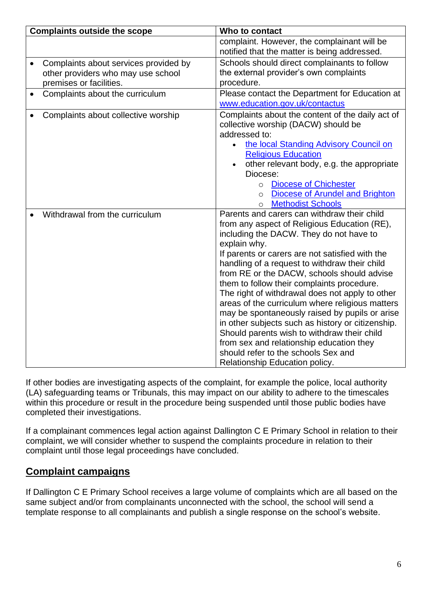|   | <b>Complaints outside the scope</b>                                                                    | Who to contact                                                                                                                                                                                                                                                                                                                                                                                                                                                                                                                                                                                                                                                                                                                          |
|---|--------------------------------------------------------------------------------------------------------|-----------------------------------------------------------------------------------------------------------------------------------------------------------------------------------------------------------------------------------------------------------------------------------------------------------------------------------------------------------------------------------------------------------------------------------------------------------------------------------------------------------------------------------------------------------------------------------------------------------------------------------------------------------------------------------------------------------------------------------------|
|   |                                                                                                        | complaint. However, the complainant will be<br>notified that the matter is being addressed.                                                                                                                                                                                                                                                                                                                                                                                                                                                                                                                                                                                                                                             |
| ٠ | Complaints about services provided by<br>other providers who may use school<br>premises or facilities. | Schools should direct complainants to follow<br>the external provider's own complaints<br>procedure.                                                                                                                                                                                                                                                                                                                                                                                                                                                                                                                                                                                                                                    |
|   | Complaints about the curriculum                                                                        | Please contact the Department for Education at<br>www.education.gov.uk/contactus                                                                                                                                                                                                                                                                                                                                                                                                                                                                                                                                                                                                                                                        |
|   | Complaints about collective worship                                                                    | Complaints about the content of the daily act of<br>collective worship (DACW) should be<br>addressed to:<br>the local Standing Advisory Council on<br><b>Religious Education</b><br>other relevant body, e.g. the appropriate<br>Diocese:<br><b>Diocese of Chichester</b><br>$\circ$<br>Diocese of Arundel and Brighton<br>$\circ$<br><b>Methodist Schools</b><br>$\circ$                                                                                                                                                                                                                                                                                                                                                               |
|   | Withdrawal from the curriculum                                                                         | Parents and carers can withdraw their child<br>from any aspect of Religious Education (RE),<br>including the DACW. They do not have to<br>explain why.<br>If parents or carers are not satisfied with the<br>handling of a request to withdraw their child<br>from RE or the DACW, schools should advise<br>them to follow their complaints procedure.<br>The right of withdrawal does not apply to other<br>areas of the curriculum where religious matters<br>may be spontaneously raised by pupils or arise<br>in other subjects such as history or citizenship.<br>Should parents wish to withdraw their child<br>from sex and relationship education they<br>should refer to the schools Sex and<br>Relationship Education policy. |

If other bodies are investigating aspects of the complaint, for example the police, local authority (LA) safeguarding teams or Tribunals, this may impact on our ability to adhere to the timescales within this procedure or result in the procedure being suspended until those public bodies have completed their investigations.

If a complainant commences legal action against Dallington C E Primary School in relation to their complaint, we will consider whether to suspend the complaints procedure in relation to their complaint until those legal proceedings have concluded.

## <span id="page-7-0"></span>**Complaint campaigns**

If Dallington C E Primary School receives a large volume of complaints which are all based on the same subject and/or from complainants unconnected with the school, the school will send a template response to all complainants and publish a single response on the school's website.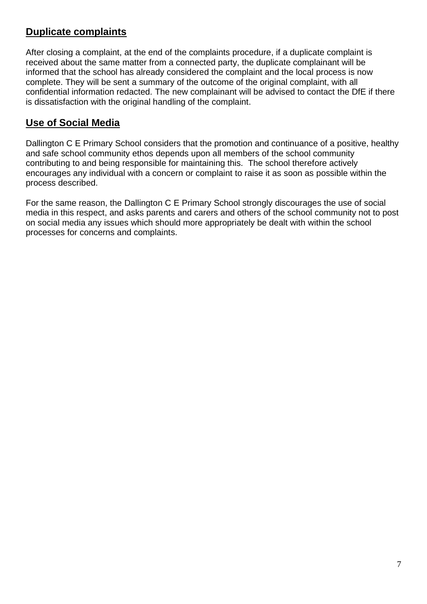## <span id="page-8-0"></span>**Duplicate complaints**

After closing a complaint, at the end of the complaints procedure, if a duplicate complaint is received about the same matter from a connected party, the duplicate complainant will be informed that the school has already considered the complaint and the local process is now complete. They will be sent a summary of the outcome of the original complaint, with all confidential information redacted. The new complainant will be advised to contact the DfE if there is dissatisfaction with the original handling of the complaint.

## **Use of Social Media**

Dallington C E Primary School considers that the promotion and continuance of a positive, healthy and safe school community ethos depends upon all members of the school community contributing to and being responsible for maintaining this. The school therefore actively encourages any individual with a concern or complaint to raise it as soon as possible within the process described.

For the same reason, the Dallington C E Primary School strongly discourages the use of social media in this respect, and asks parents and carers and others of the school community not to post on social media any issues which should more appropriately be dealt with within the school processes for concerns and complaints.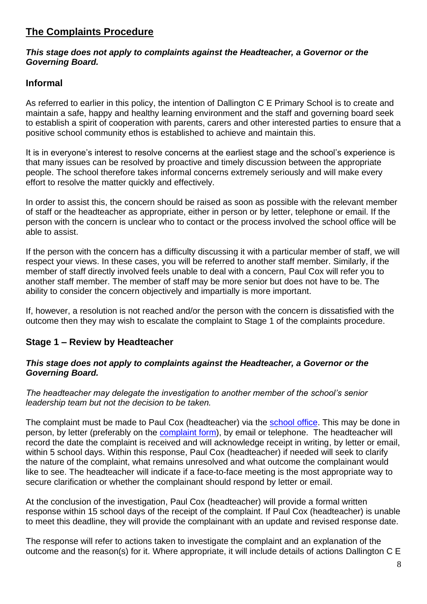## <span id="page-9-0"></span>**The Complaints Procedure**

#### *This stage does not apply to complaints against the Headteacher, a Governor or the Governing Board.*

#### <span id="page-9-1"></span>**Informal**

As referred to earlier in this policy, the intention of Dallington C E Primary School is to create and maintain a safe, happy and healthy learning environment and the staff and governing board seek to establish a spirit of cooperation with parents, carers and other interested parties to ensure that a positive school community ethos is established to achieve and maintain this.

It is in everyone's interest to resolve concerns at the earliest stage and the school's experience is that many issues can be resolved by proactive and timely discussion between the appropriate people. The school therefore takes informal concerns extremely seriously and will make every effort to resolve the matter quickly and effectively.

In order to assist this, the concern should be raised as soon as possible with the relevant member of staff or the headteacher as appropriate, either in person or by letter, telephone or email. If the person with the concern is unclear who to contact or the process involved [the school office](#page-2-0) will be able to assist.

If the person with the concern has a difficulty discussing it with a particular member of staff, we will respect your views. In these cases, you will be referred to another staff member. Similarly, if the member of staff directly involved feels unable to deal with a concern, Paul Cox will refer you to another staff member. The member of staff may be more senior but does not have to be. The ability to consider the concern objectively and impartially is more important.

If, however, a resolution is not reached and/or the person with the concern is dissatisfied with the outcome then they may wish to escalate the complaint to Stage 1 of the complaints procedure.

#### <span id="page-9-2"></span>**Stage 1 – Review by Headteacher**

#### *This stage does not apply to complaints against the Headteacher, a Governor or the Governing Board.*

*The headteacher may delegate the investigation to another member of the school's senior leadership team but not the decision to be taken.*

The complaint must be made to Paul Cox (headteacher) via the [school office.](#page-2-0) This may be done in person, by letter (preferably on the [complaint form\)](#page-20-0), by email or telephone. The headteacher will record the date the complaint is received and will acknowledge receipt in writing, by letter or email, within 5 school days. Within this response, Paul Cox (headteacher) if needed will seek to clarify the nature of the complaint, what remains unresolved and what outcome the complainant would like to see. The headteacher will indicate if a face-to-face meeting is the most appropriate way to secure clarification or whether the complainant should respond by letter or email.

At the conclusion of the investigation, Paul Cox (headteacher) will provide a formal written response within 15 school days of the receipt of the complaint. If Paul Cox (headteacher) is unable to meet this deadline, they will provide the complainant with an update and revised response date.

The response will refer to actions taken to investigate the complaint and an explanation of the outcome and the reason(s) for it. Where appropriate, it will include details of actions Dallington C E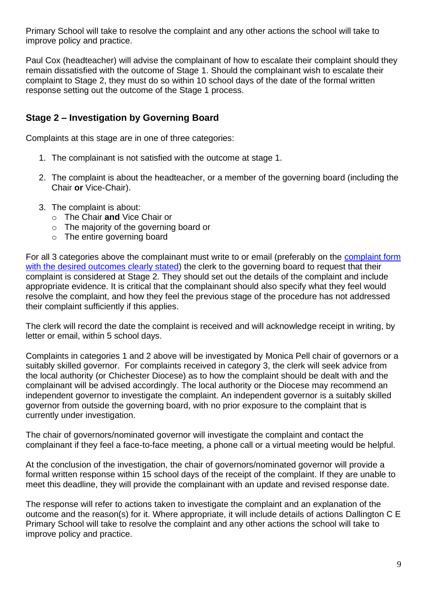Primary School will take to resolve the complaint and any other actions the school will take to improve policy and practice.

Paul Cox (headteacher) will advise the complainant of how to escalate their complaint should they remain dissatisfied with the outcome of Stage 1. Should the complainant wish to escalate their complaint to Stage 2, they must do so within 10 school days of the date of the formal written response setting out the outcome of the Stage 1 process.

#### <span id="page-10-0"></span>**Stage 2 – Investigation by Governing Board**

Complaints at this stage are in one of three categories:

- <span id="page-10-1"></span>1. The complainant is not satisfied with the outcome at stage 1.
- <span id="page-10-2"></span>2. The complaint is about the headteacher, or a member of the governing board (including the Chair **or** Vice-Chair).
- <span id="page-10-5"></span><span id="page-10-4"></span><span id="page-10-3"></span>3. The complaint is about:
	- o The Chair **and** Vice Chair or
	- o The majority of the governing board or
	- o The entire governing board

<span id="page-10-6"></span>For all 3 categories above the complainant must write to or email (preferably on the [complaint form](#page-20-0) with the desired outcomes clearly stated) the clerk to the governing board to request that their complaint is considered at Stage 2. They should set out the details of the complaint and include appropriate evidence. It is critical that the complainant should also specify what they feel would resolve the complaint, and how they feel the previous stage of the procedure has not addressed their complaint sufficiently if this applies.

The clerk will record the date the complaint is received and will acknowledge receipt in writing, by letter or email, within 5 school days.

Complaints in categories 1 and 2 above will be investigated by Monica Pell chair of governors or a suitably skilled governor. For complaints received in category 3, the clerk will seek advice from the local authority (or Chichester Diocese) as to how the complaint should be dealt with and the complainant will be advised accordingly. The local authority or the Diocese may recommend an independent governor to investigate the complaint. An independent governor is a suitably skilled governor from outside the governing board, with no prior exposure to the complaint that is currently under investigation.

The chair of governors/nominated governor will investigate the complaint and contact the complainant if they feel a face-to-face meeting, a phone call or a virtual meeting would be helpful.

At the conclusion of the investigation, the chair of governors/nominated governor will provide a formal written response within 15 school days of the receipt of the complaint. If they are unable to meet this deadline, they will provide the complainant with an update and revised response date.

The response will refer to actions taken to investigate the complaint and an explanation of the outcome and the reason(s) for it. Where appropriate, it will include details of actions Dallington C E Primary School will take to resolve the complaint and any other actions the school will take to improve policy and practice.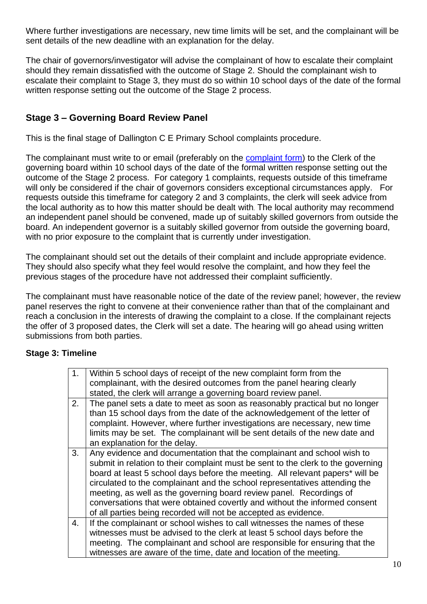Where further investigations are necessary, new time limits will be set, and the complainant will be sent details of the new deadline with an explanation for the delay.

The chair of governors/investigator will advise the complainant of how to escalate their complaint should they remain dissatisfied with the outcome of Stage 2. Should the complainant wish to escalate their complaint to Stage 3, they must do so within 10 school days of the date of the formal written response setting out the outcome of the Stage 2 process.

#### <span id="page-11-0"></span>**Stage 3 – Governing Board Review Panel**

This is the final stage of Dallington C E Primary School complaints procedure.

The complainant must write to or email (preferably on the [complaint form\)](#page-2-0) to the Clerk of the governing board within 10 school days of the date of the formal written response setting out the outcome of the Stage 2 process. For category 1 complaints, requests outside of this timeframe will only be considered if the chair of governors considers exceptional circumstances apply. For requests outside this timeframe for category 2 and 3 complaints, the clerk will seek advice from the local authority as to how this matter should be dealt with. The local authority may recommend an independent panel should be convened, made up of suitably skilled governors from outside the board. An independent governor is a suitably skilled governor from outside the governing board, with no prior exposure to the complaint that is currently under investigation.

The complainant should set out the details of their complaint and include appropriate evidence. They should also specify what they feel would resolve the complaint, and how they feel the previous stages of the procedure have not addressed their complaint sufficiently.

The complainant must have reasonable notice of the date of the review panel; however, the review panel reserves the right to convene at their convenience rather than that of the complainant and reach a conclusion in the interests of drawing the complaint to a close. If the complainant rejects the offer of 3 proposed dates, the Clerk will set a date. The hearing will go ahead using written submissions from both parties.

#### **Stage 3: Timeline**

<span id="page-11-1"></span>

| 1. | Within 5 school days of receipt of the new complaint form from the<br>complainant, with the desired outcomes from the panel hearing clearly<br>stated, the clerk will arrange a governing board review panel.                                                                                                                                                                                                                                                                                                                                     |
|----|---------------------------------------------------------------------------------------------------------------------------------------------------------------------------------------------------------------------------------------------------------------------------------------------------------------------------------------------------------------------------------------------------------------------------------------------------------------------------------------------------------------------------------------------------|
| 2. | The panel sets a date to meet as soon as reasonably practical but no longer<br>than 15 school days from the date of the acknowledgement of the letter of<br>complaint. However, where further investigations are necessary, new time<br>limits may be set. The complainant will be sent details of the new date and<br>an explanation for the delay.                                                                                                                                                                                              |
| 3. | Any evidence and documentation that the complainant and school wish to<br>submit in relation to their complaint must be sent to the clerk to the governing<br>board at least 5 school days before the meeting. All relevant papers* will be<br>circulated to the complainant and the school representatives attending the<br>meeting, as well as the governing board review panel. Recordings of<br>conversations that were obtained covertly and without the informed consent<br>of all parties being recorded will not be accepted as evidence. |
| 4. | If the complainant or school wishes to call witnesses the names of these<br>witnesses must be advised to the clerk at least 5 school days before the<br>meeting. The complainant and school are responsible for ensuring that the<br>witnesses are aware of the time, date and location of the meeting.                                                                                                                                                                                                                                           |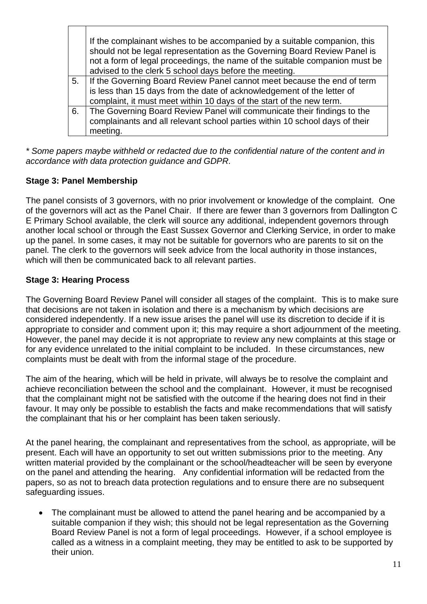|    | If the complainant wishes to be accompanied by a suitable companion, this<br>should not be legal representation as the Governing Board Review Panel is<br>not a form of legal proceedings, the name of the suitable companion must be<br>advised to the clerk 5 school days before the meeting. |
|----|-------------------------------------------------------------------------------------------------------------------------------------------------------------------------------------------------------------------------------------------------------------------------------------------------|
| 5. | If the Governing Board Review Panel cannot meet because the end of term                                                                                                                                                                                                                         |
|    | is less than 15 days from the date of acknowledgement of the letter of                                                                                                                                                                                                                          |
|    | complaint, it must meet within 10 days of the start of the new term.                                                                                                                                                                                                                            |
| 6. | The Governing Board Review Panel will communicate their findings to the                                                                                                                                                                                                                         |
|    | complainants and all relevant school parties within 10 school days of their                                                                                                                                                                                                                     |
|    | meeting.                                                                                                                                                                                                                                                                                        |

*\* Some papers maybe withheld or redacted due to the confidential nature of the content and in accordance with data protection guidance and GDPR.*

#### <span id="page-12-0"></span>**Stage 3: Panel Membership**

The panel consists of 3 governors, with no prior involvement or knowledge of the complaint. One of the governors will act as the Panel Chair. If there are fewer than 3 governors from Dallington C E Primary School available, the clerk will source any additional, independent governors through another local school or through the East Sussex Governor and Clerking Service, in order to make up the panel. In some cases, it may not be suitable for governors who are parents to sit on the panel. The clerk to the governors will seek advice from the local authority in those instances, which will then be communicated back to all relevant parties.

#### <span id="page-12-1"></span>**Stage 3: Hearing Process**

The Governing Board Review Panel will consider all stages of the complaint. This is to make sure that decisions are not taken in isolation and there is a mechanism by which decisions are considered independently. If a new issue arises the panel will use its discretion to decide if it is appropriate to consider and comment upon it; this may require a short adjournment of the meeting. However, the panel may decide it is not appropriate to review any new complaints at this stage or for any evidence unrelated to the initial complaint to be included. In these circumstances, new complaints must be dealt with from the informal stage of the procedure.

The aim of the hearing, which will be held in private, will always be to resolve the complaint and achieve reconciliation between the school and the complainant. However, it must be recognised that the complainant might not be satisfied with the outcome if the hearing does not find in their favour. It may only be possible to establish the facts and make recommendations that will satisfy the complainant that his or her complaint has been taken seriously.

At the panel hearing, the complainant and representatives from the school, as appropriate, will be present. Each will have an opportunity to set out written submissions prior to the meeting. Any written material provided by the complainant or the school/headteacher will be seen by everyone on the panel and attending the hearing. Any confidential information will be redacted from the papers, so as not to breach data protection regulations and to ensure there are no subsequent safeguarding issues.

• The complainant must be allowed to attend the panel hearing and be accompanied by a suitable companion if they wish; this should not be legal representation as the Governing Board Review Panel is not a form of legal proceedings. However, if a school employee is called as a witness in a complaint meeting, they may be entitled to ask to be supported by their union.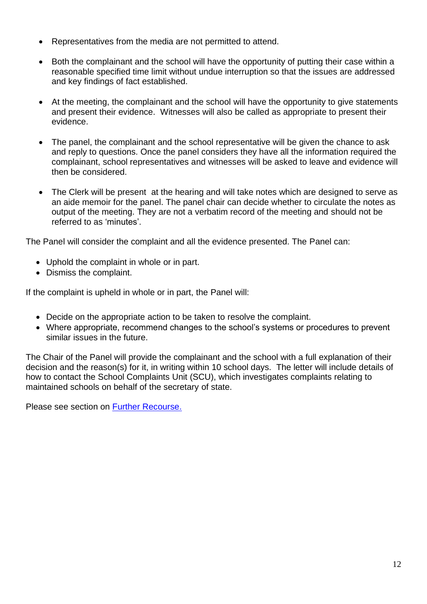- Representatives from the media are not permitted to attend.
- Both the complainant and the school will have the opportunity of putting their case within a reasonable specified time limit without undue interruption so that the issues are addressed and key findings of fact established.
- At the meeting, the complainant and the school will have the opportunity to give statements and present their evidence. Witnesses will also be called as appropriate to present their evidence.
- The panel, the complainant and the school representative will be given the chance to ask and reply to questions. Once the panel considers they have all the information required the complainant, school representatives and witnesses will be asked to leave and evidence will then be considered.
- The Clerk will be present at the hearing and will take notes which are designed to serve as an aide memoir for the panel. The panel chair can decide whether to circulate the notes as output of the meeting. They are not a verbatim record of the meeting and should not be referred to as 'minutes'.

The Panel will consider the complaint and all the evidence presented. The Panel can:

- Uphold the complaint in whole or in part.
- Dismiss the complaint.

If the complaint is upheld in whole or in part, the Panel will:

- Decide on the appropriate action to be taken to resolve the complaint.
- Where appropriate, recommend changes to the school's systems or procedures to prevent similar issues in the future.

The Chair of the Panel will provide the complainant and the school with a full explanation of their decision and the reason(s) for it, in writing within 10 school days. The letter will include details of how to contact the School Complaints Unit (SCU), which investigates complaints relating to maintained schools on behalf of the secretary of state.

<span id="page-13-0"></span>Please see section on [Further Recourse.](#page-13-0)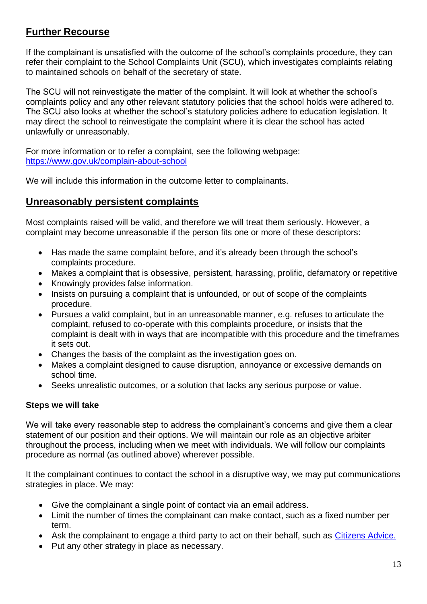## **Further Recourse**

If the complainant is unsatisfied with the outcome of the school's complaints procedure, they can refer their complaint to the School Complaints Unit (SCU), which investigates complaints relating to maintained schools on behalf of the secretary of state.

The SCU will not reinvestigate the matter of the complaint. It will look at whether the school's complaints policy and any other relevant statutory policies that the school holds were adhered to. The SCU also looks at whether the school's statutory policies adhere to education legislation. It may direct the school to reinvestigate the complaint where it is clear the school has acted unlawfully or unreasonably.

For more information or to refer a complaint, see the following webpage: <https://www.gov.uk/complain-about-school>

We will include this information in the outcome letter to complainants.

#### <span id="page-14-0"></span>**Unreasonably persistent complaints**

Most complaints raised will be valid, and therefore we will treat them seriously. However, a complaint may become unreasonable if the person fits one or more of these descriptors:

- Has made the same complaint before, and it's already been through the school's complaints procedure.
- Makes a complaint that is obsessive, persistent, harassing, prolific, defamatory or repetitive
- Knowingly provides false information.
- Insists on pursuing a complaint that is unfounded, or out of scope of the complaints procedure.
- Pursues a valid complaint, but in an unreasonable manner, e.g. refuses to articulate the complaint, refused to co-operate with this complaints procedure, or insists that the complaint is dealt with in ways that are incompatible with this procedure and the timeframes it sets out.
- Changes the basis of the complaint as the investigation goes on.
- Makes a complaint designed to cause disruption, annoyance or excessive demands on school time.
- Seeks unrealistic outcomes, or a solution that lacks any serious purpose or value.

#### **Steps we will take**

We will take every reasonable step to address the complainant's concerns and give them a clear statement of our position and their options. We will maintain our role as an objective arbiter throughout the process, including when we meet with individuals. We will follow our complaints procedure as normal (as outlined above) wherever possible.

It the complainant continues to contact the school in a disruptive way, we may put communications strategies in place. We may:

- Give the complainant a single point of contact via an email address.
- Limit the number of times the complainant can make contact, such as a fixed number per term.
- Ask the complainant to engage a third party to act on their behalf, such as *Citizens Advice*.
- Put any other strategy in place as necessary.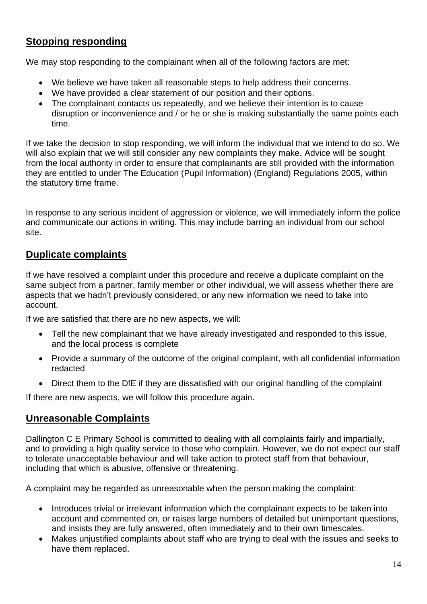## <span id="page-15-0"></span>**Stopping responding**

We may stop responding to the complainant when all of the following factors are met:

- We believe we have taken all reasonable steps to help address their concerns.
- We have provided a clear statement of our position and their options.
- The complainant contacts us repeatedly, and we believe their intention is to cause disruption or inconvenience and / or he or she is making substantially the same points each time.

If we take the decision to stop responding, we will inform the individual that we intend to do so. We will also explain that we will still consider any new complaints they make. Advice will be sought from the local authority in order to ensure that complainants are still provided with the information they are entitled to under The Education (Pupil Information) (England) Regulations 2005, within the statutory time frame.

In response to any serious incident of aggression or violence, we will immediately inform the police and communicate our actions in writing. This may include barring an individual from our school site.

#### <span id="page-15-1"></span>**Duplicate complaints**

If we have resolved a complaint under this procedure and receive a duplicate complaint on the same subject from a partner, family member or other individual, we will assess whether there are aspects that we hadn't previously considered, or any new information we need to take into account.

If we are satisfied that there are no new aspects, we will:

- Tell the new complainant that we have already investigated and responded to this issue, and the local process is complete
- Provide a summary of the outcome of the original complaint, with all confidential information redacted
- Direct them to the DfE if they are dissatisfied with our original handling of the complaint

<span id="page-15-2"></span>If there are new aspects, we will follow this procedure again.

#### <span id="page-15-3"></span>**Unreasonable Complaints**

Dallington C E Primary School is committed to dealing with all complaints fairly and impartially, and to providing a high quality service to those who complain. However, we do not expect our staff to tolerate unacceptable behaviour and will take action to protect staff from that behaviour, including that which is abusive, offensive or threatening.

A complaint may be regarded as unreasonable when the person making the complaint:

- Introduces trivial or irrelevant information which the complainant expects to be taken into account and commented on, or raises large numbers of detailed but unimportant questions, and insists they are fully answered, often immediately and to their own timescales.
- Makes unjustified complaints about staff who are trying to deal with the issues and seeks to have them replaced.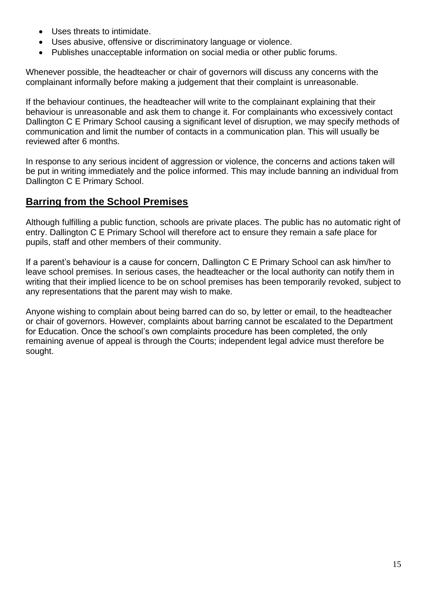- Uses threats to intimidate.
- Uses abusive, offensive or discriminatory language or violence.
- Publishes unacceptable information on social media or other public forums.

Whenever possible, the headteacher or chair of governors will discuss any concerns with the complainant informally before making a judgement that their complaint is unreasonable.

If the behaviour continues, the headteacher will write to the complainant explaining that their behaviour is unreasonable and ask them to change it. For complainants who excessively contact Dallington C E Primary School causing a significant level of disruption, we may specify methods of communication and limit the number of contacts in a communication plan. This will usually be reviewed after 6 months.

In response to any serious incident of aggression or violence, the concerns and actions taken will be put in writing immediately and the police informed. This may include banning an individual from Dallington C E Primary School.

#### <span id="page-16-0"></span>**Barring from the School Premises**

Although fulfilling a public function, schools are private places. The public has no automatic right of entry. Dallington C E Primary School will therefore act to ensure they remain a safe place for pupils, staff and other members of their community.

If a parent's behaviour is a cause for concern, Dallington C E Primary School can ask him/her to leave school premises. In serious cases, the headteacher or the local authority can notify them in writing that their implied licence to be on school premises has been temporarily revoked, subject to any representations that the parent may wish to make.

Anyone wishing to complain about being barred can do so, by letter or email, to the headteacher or chair of governors. However, complaints about barring cannot be escalated to the Department for Education. Once the school's own complaints procedure has been completed, the only remaining avenue of appeal is through the Courts; independent legal advice must therefore be sought.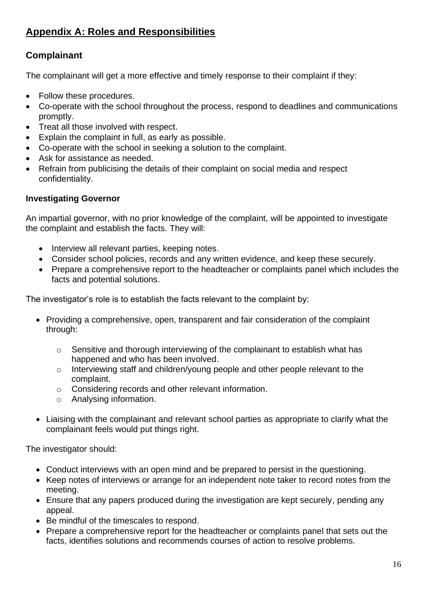## <span id="page-17-0"></span>**Appendix A: Roles and Responsibilities**

## <span id="page-17-1"></span>**Complainant**

The complainant will get a more effective and timely response to their complaint if they:

- Follow these procedures.
- Co-operate with the school throughout the process, respond to deadlines and communications promptly.
- Treat all those involved with respect.
- Explain the complaint in full, as early as possible.
- Co-operate with the school in seeking a solution to the complaint.
- Ask for assistance as needed.
- Refrain from publicising the details of their complaint on social media and respect confidentiality.

#### <span id="page-17-2"></span>**Investigating Governor**

An impartial governor, with no prior knowledge of the complaint, will be appointed to investigate the complaint and establish the facts. They will:

- Interview all relevant parties, keeping notes.
- Consider school policies, records and any written evidence, and keep these securely.
- Prepare a comprehensive report to the headteacher or complaints panel which includes the facts and potential solutions.

The investigator's role is to establish the facts relevant to the complaint by:

- Providing a comprehensive, open, transparent and fair consideration of the complaint through:
	- o Sensitive and thorough interviewing of the complainant to establish what has happened and who has been involved.
	- o Interviewing staff and children/young people and other people relevant to the complaint.
	- o Considering records and other relevant information.
	- o Analysing information.
- Liaising with the complainant and relevant school parties as appropriate to clarify what the complainant feels would put things right.

The investigator should:

- Conduct interviews with an open mind and be prepared to persist in the questioning.
- Keep notes of interviews or arrange for an independent note taker to record notes from the meeting.
- Ensure that any papers produced during the investigation are kept securely, pending any appeal.
- Be mindful of the timescales to respond.
- Prepare a comprehensive report for the headteacher or complaints panel that sets out the facts, identifies solutions and recommends courses of action to resolve problems.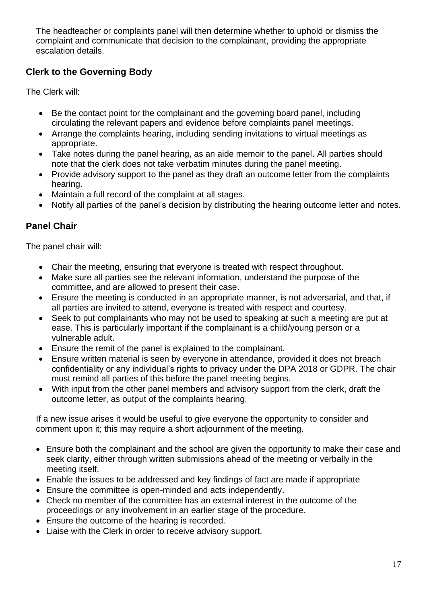The headteacher or complaints panel will then determine whether to uphold or dismiss the complaint and communicate that decision to the complainant, providing the appropriate escalation details.

## <span id="page-18-0"></span>**Clerk to the Governing Body**

The Clerk will:

- Be the contact point for the complainant and the governing board panel, including circulating the relevant papers and evidence before complaints panel meetings.
- Arrange the complaints hearing, including sending invitations to virtual meetings as appropriate.
- Take notes during the panel hearing, as an aide memoir to the panel. All parties should note that the clerk does not take verbatim minutes during the panel meeting.
- Provide advisory support to the panel as they draft an outcome letter from the complaints hearing.
- Maintain a full record of the complaint at all stages.
- Notify all parties of the panel's decision by distributing the hearing outcome letter and notes.

#### <span id="page-18-1"></span>**Panel Chair**

The panel chair will:

- Chair the meeting, ensuring that everyone is treated with respect throughout.
- Make sure all parties see the relevant information, understand the purpose of the committee, and are allowed to present their case.
- Ensure the meeting is conducted in an appropriate manner, is not adversarial, and that, if all parties are invited to attend, everyone is treated with respect and courtesy.
- Seek to put complainants who may not be used to speaking at such a meeting are put at ease. This is particularly important if the complainant is a child/young person or a vulnerable adult.
- Ensure the remit of the panel is explained to the complainant.
- Ensure written material is seen by everyone in attendance, provided it does not breach confidentiality or any individual's rights to privacy under the DPA 2018 or GDPR. The chair must remind all parties of this before the panel meeting begins.
- With input from the other panel members and advisory support from the clerk, draft the outcome letter, as output of the complaints hearing.

If a new issue arises it would be useful to give everyone the opportunity to consider and comment upon it; this may require a short adjournment of the meeting.

- Ensure both the complainant and the school are given the opportunity to make their case and seek clarity, either through written submissions ahead of the meeting or verbally in the meeting itself.
- Enable the issues to be addressed and key findings of fact are made if appropriate
- Ensure the committee is open-minded and acts independently.
- Check no member of the committee has an external interest in the outcome of the proceedings or any involvement in an earlier stage of the procedure.
- Ensure the outcome of the hearing is recorded.
- Liaise with the Clerk in order to receive advisory support.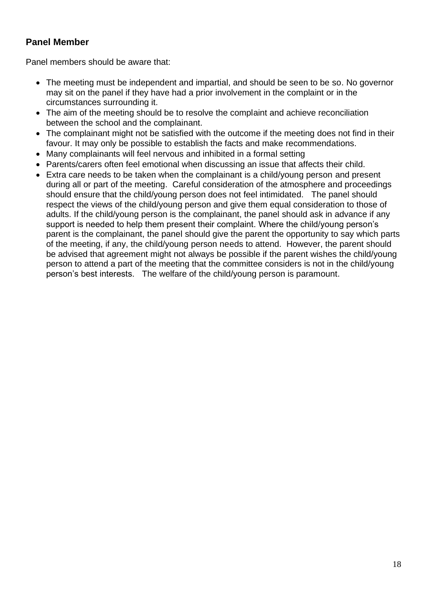#### <span id="page-19-0"></span>**Panel Member**

Panel members should be aware that:

- The meeting must be independent and impartial, and should be seen to be so. No governor may sit on the panel if they have had a prior involvement in the complaint or in the circumstances surrounding it.
- The aim of the meeting should be to resolve the complaint and achieve reconciliation between the school and the complainant.
- The complainant might not be satisfied with the outcome if the meeting does not find in their favour. It may only be possible to establish the facts and make recommendations.
- Many complainants will feel nervous and inhibited in a formal setting
- Parents/carers often feel emotional when discussing an issue that affects their child.
- Extra care needs to be taken when the complainant is a child/young person and present during all or part of the meeting. Careful consideration of the atmosphere and proceedings should ensure that the child/young person does not feel intimidated. The panel should respect the views of the child/young person and give them equal consideration to those of adults. If the child/young person is the complainant, the panel should ask in advance if any support is needed to help them present their complaint. Where the child/young person's parent is the complainant, the panel should give the parent the opportunity to say which parts of the meeting, if any, the child/young person needs to attend. However, the parent should be advised that agreement might not always be possible if the parent wishes the child/young person to attend a part of the meeting that the committee considers is not in the child/young person's best interests. The welfare of the child/young person is paramount.